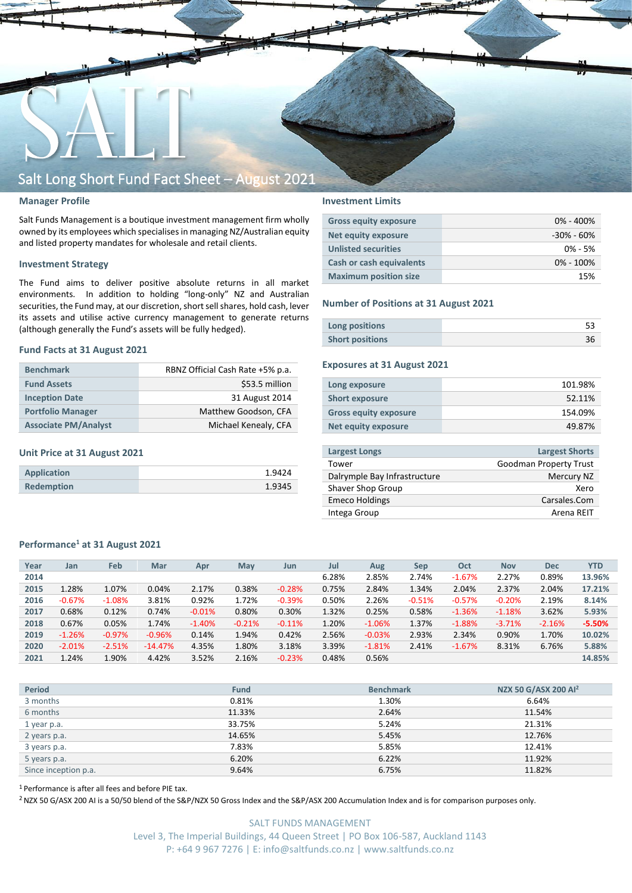

## **Manager Profile**

Salt Funds Management is a boutique investment management firm wholly owned by its employees which specialisesin managing NZ/Australian equity and listed property mandates for wholesale and retail clients.

### **Investment Strategy**

The Fund aims to deliver positive absolute returns in all market environments. In addition to holding "long-only" NZ and Australian securities, the Fund may, at our discretion, short sell shares, hold cash, lever its assets and utilise active currency management to generate returns (although generally the Fund's assets will be fully hedged).

#### **Fund Facts at 31 August 2021**

| <b>Benchmark</b>            | RBNZ Official Cash Rate +5% p.a. |
|-----------------------------|----------------------------------|
| <b>Fund Assets</b>          | \$53.5 million                   |
| <b>Inception Date</b>       | 31 August 2014                   |
| <b>Portfolio Manager</b>    | Matthew Goodson, CFA             |
| <b>Associate PM/Analyst</b> | Michael Kenealy, CFA             |

## **Unit Price at 31 August 2021**

| Application       | 1.9424 |
|-------------------|--------|
| <b>Redemption</b> | 1.9345 |

## **Investment Limits**

| <b>Gross equity exposure</b> | $0\% - 400\%$  |
|------------------------------|----------------|
| <b>Net equity exposure</b>   | $-30\% - 60\%$ |
| <b>Unlisted securities</b>   | $0\% - 5\%$    |
| Cash or cash equivalents     | $0\% - 100\%$  |
| <b>Maximum position size</b> | 15%            |

#### **Number of Positions at 31 August 2021**

| Long positions         |  |
|------------------------|--|
| <b>Short positions</b> |  |

## **Exposures at 31 August 2021**

| Long exposure                | 101.98% |
|------------------------------|---------|
| <b>Short exposure</b>        | 52.11%  |
| <b>Gross equity exposure</b> | 154.09% |
| Net equity exposure          | 49.87%  |
|                              |         |

| <b>Largest Longs</b>         | <b>Largest Shorts</b>         |
|------------------------------|-------------------------------|
| Tower                        | <b>Goodman Property Trust</b> |
| Dalrymple Bay Infrastructure | Mercury NZ                    |
| Shaver Shop Group            | Xero                          |
| <b>Emeco Holdings</b>        | Carsales.Com                  |
| Intega Group                 | Arena RFIT                    |
|                              |                               |

### **Performance<sup>1</sup> at 31 August 2021**

| Year | Jan      | Feb       | Mar       | Apr      | <b>May</b> | Jun      | Jul   | Aug      | <b>Sep</b> | Oct      | <b>Nov</b> | <b>Dec</b> | <b>YTD</b> |
|------|----------|-----------|-----------|----------|------------|----------|-------|----------|------------|----------|------------|------------|------------|
| 2014 |          |           |           |          |            |          | 6.28% | 2.85%    | 2.74%      | $-1.67%$ | 2.27%      | 0.89%      | 13.96%     |
| 2015 | 1.28%    | 1.07%     | 0.04%     | 2.17%    | 0.38%      | $-0.28%$ | 0.75% | 2.84%    | 1.34%      | 2.04%    | 2.37%      | 2.04%      | 17.21%     |
| 2016 | $-0.67%$ | $-1.08\%$ | 3.81%     | 0.92%    | 1.72%      | $-0.39%$ | 0.50% | 2.26%    | $-0.51%$   | $-0.57%$ | $-0.20%$   | 2.19%      | 8.14%      |
| 2017 | 0.68%    | 0.12%     | 0.74%     | $-0.01%$ | 0.80%      | 0.30%    | 1.32% | 0.25%    | 0.58%      | $-1.36%$ | $-1.18%$   | 3.62%      | 5.93%      |
| 2018 | 0.67%    | 0.05%     | 1.74%     | $-1.40%$ | $-0.21%$   | $-0.11%$ | 1.20% | $-1.06%$ | 1.37%      | $-1.88%$ | $-3.71%$   | $-2.16%$   | $-5.50%$   |
| 2019 | $-1.26%$ | $-0.97%$  | $-0.96%$  | 0.14%    | 1.94%      | 0.42%    | 2.56% | $-0.03%$ | 2.93%      | 2.34%    | 0.90%      | 1.70%      | 10.02%     |
| 2020 | $-2.01%$ | $-2.51%$  | $-14.47%$ | 4.35%    | 1.80%      | 3.18%    | 3.39% | $-1.81%$ | 2.41%      | $-1.67%$ | 8.31%      | 6.76%      | 5.88%      |
| 2021 | 1.24%    | 1.90%     | 4.42%     | 3.52%    | 2.16%      | $-0.23%$ | 0.48% | 0.56%    |            |          |            |            | 14.85%     |
|      |          |           |           |          |            |          |       |          |            |          |            |            |            |

| <b>Period</b>        | <b>Fund</b> | <b>Benchmark</b> | NZX 50 G/ASX 200 Al <sup>2</sup> |
|----------------------|-------------|------------------|----------------------------------|
| 3 months             | 0.81%       | 1.30%            | 6.64%                            |
| 6 months             | 11.33%      | 2.64%            | 11.54%                           |
| 1 year p.a.          | 33.75%      | 5.24%            | 21.31%                           |
| 2 years p.a.         | 14.65%      | 5.45%            | 12.76%                           |
| 3 years p.a.         | 7.83%       | 5.85%            | 12.41%                           |
| 5 years p.a.         | 6.20%       | 6.22%            | 11.92%                           |
| Since inception p.a. | 9.64%       | 6.75%            | 11.82%                           |

<sup>1</sup> Performance is after all fees and before PIE tax.

<sup>2</sup> NZX 50 G/ASX 200 AI is a 50/50 blend of the S&P/NZX 50 Gross Index and the S&P/ASX 200 Accumulation Index and is for comparison purposes only.

SALT FUNDS MANAGEMENT Level 3, The Imperial Buildings, 44 Queen Street | PO Box 106-587, Auckland 1143 P: +64 9 967 7276 | E: info@saltfunds.co.nz | www.saltfunds.co.nz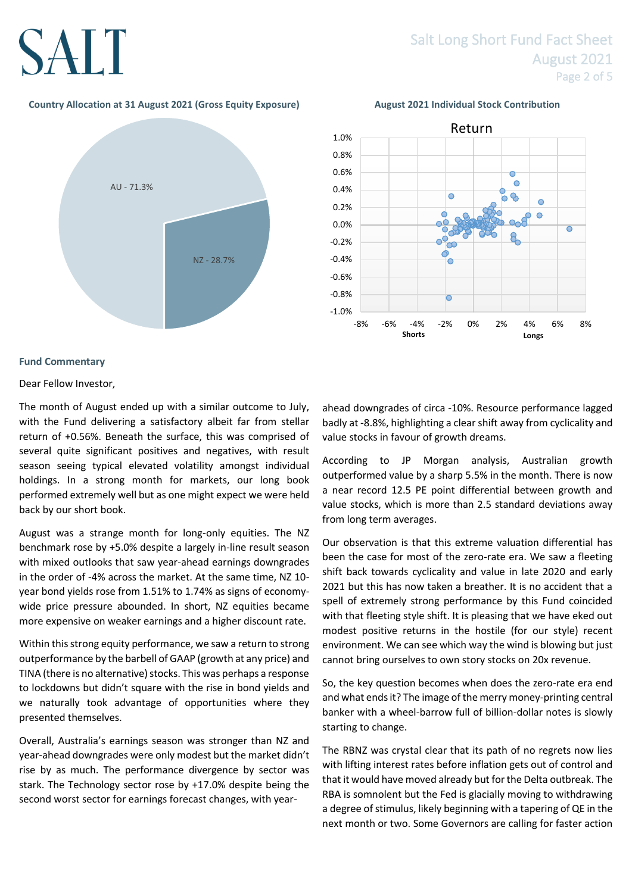## SALT

## Salt Long Short Fund Fact Sheet August 2021 Page 2 of 5

## **Country Allocation at 31 August 2021 (Gross Equity Exposure) August 2021 Individual Stock Contribution**





## **Fund Commentary**

Dear Fellow Investor,

The month of August ended up with a similar outcome to July, with the Fund delivering a satisfactory albeit far from stellar return of +0.56%. Beneath the surface, this was comprised of several quite significant positives and negatives, with result season seeing typical elevated volatility amongst individual holdings. In a strong month for markets, our long book performed extremely well but as one might expect we were held back by our short book.

August was a strange month for long-only equities. The NZ benchmark rose by +5.0% despite a largely in-line result season with mixed outlooks that saw year-ahead earnings downgrades in the order of -4% across the market. At the same time, NZ 10 year bond yields rose from 1.51% to 1.74% as signs of economywide price pressure abounded. In short, NZ equities became more expensive on weaker earnings and a higher discount rate.

Within this strong equity performance, we saw a return to strong outperformance by the barbell of GAAP (growth at any price) and TINA (there is no alternative) stocks. This was perhaps a response to lockdowns but didn't square with the rise in bond yields and we naturally took advantage of opportunities where they presented themselves.

Overall, Australia's earnings season was stronger than NZ and year-ahead downgrades were only modest but the market didn't rise by as much. The performance divergence by sector was stark. The Technology sector rose by +17.0% despite being the second worst sector for earnings forecast changes, with yearahead downgrades of circa -10%. Resource performance lagged badly at -8.8%, highlighting a clear shift away from cyclicality and value stocks in favour of growth dreams.

According to JP Morgan analysis, Australian growth outperformed value by a sharp 5.5% in the month. There is now a near record 12.5 PE point differential between growth and value stocks, which is more than 2.5 standard deviations away from long term averages.

Our observation is that this extreme valuation differential has been the case for most of the zero-rate era. We saw a fleeting shift back towards cyclicality and value in late 2020 and early 2021 but this has now taken a breather. It is no accident that a spell of extremely strong performance by this Fund coincided with that fleeting style shift. It is pleasing that we have eked out modest positive returns in the hostile (for our style) recent environment. We can see which way the wind is blowing but just cannot bring ourselves to own story stocks on 20x revenue.

So, the key question becomes when does the zero-rate era end and what ends it? The image of the merry money-printing central banker with a wheel-barrow full of billion-dollar notes is slowly starting to change.

The RBNZ was crystal clear that its path of no regrets now lies with lifting interest rates before inflation gets out of control and that it would have moved already but for the Delta outbreak. The RBA is somnolent but the Fed is glacially moving to withdrawing a degree of stimulus, likely beginning with a tapering of QE in the next month or two. Some Governors are calling for faster action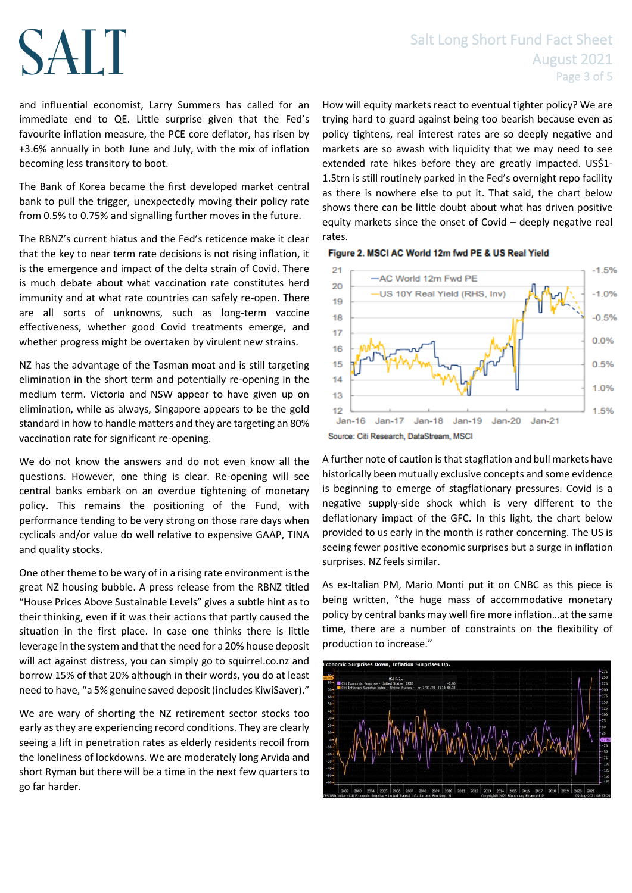# **SALT**

## Salt Long Short Fund Fact Sheet August 2021 Page 3 of 5

and influential economist, Larry Summers has called for an immediate end to QE. Little surprise given that the Fed's favourite inflation measure, the PCE core deflator, has risen by +3.6% annually in both June and July, with the mix of inflation becoming less transitory to boot.

The Bank of Korea became the first developed market central bank to pull the trigger, unexpectedly moving their policy rate from 0.5% to 0.75% and signalling further moves in the future.

The RBNZ's current hiatus and the Fed's reticence make it clear that the key to near term rate decisions is not rising inflation, it is the emergence and impact of the delta strain of Covid. There is much debate about what vaccination rate constitutes herd immunity and at what rate countries can safely re-open. There are all sorts of unknowns, such as long-term vaccine effectiveness, whether good Covid treatments emerge, and whether progress might be overtaken by virulent new strains.

NZ has the advantage of the Tasman moat and is still targeting elimination in the short term and potentially re-opening in the medium term. Victoria and NSW appear to have given up on elimination, while as always, Singapore appears to be the gold standard in how to handle matters and they are targeting an 80% vaccination rate for significant re-opening.

We do not know the answers and do not even know all the questions. However, one thing is clear. Re-opening will see central banks embark on an overdue tightening of monetary policy. This remains the positioning of the Fund, with performance tending to be very strong on those rare days when cyclicals and/or value do well relative to expensive GAAP, TINA and quality stocks.

One other theme to be wary of in a rising rate environment is the great NZ housing bubble. A press release from the RBNZ titled "House Prices Above Sustainable Levels" gives a subtle hint as to their thinking, even if it was their actions that partly caused the situation in the first place. In case one thinks there is little leverage in the system and that the need for a 20% house deposit will act against distress, you can simply go to squirrel.co.nz and borrow 15% of that 20% although in their words, you do at least need to have, "a 5% genuine saved deposit (includes KiwiSaver)."

We are wary of shorting the NZ retirement sector stocks too early as they are experiencing record conditions. They are clearly seeing a lift in penetration rates as elderly residents recoil from the loneliness of lockdowns. We are moderately long Arvida and short Ryman but there will be a time in the next few quarters to go far harder.

How will equity markets react to eventual tighter policy? We are trying hard to guard against being too bearish because even as policy tightens, real interest rates are so deeply negative and markets are so awash with liquidity that we may need to see extended rate hikes before they are greatly impacted. US\$1- 1.5trn is still routinely parked in the Fed's overnight repo facility as there is nowhere else to put it. That said, the chart below shows there can be little doubt about what has driven positive equity markets since the onset of Covid – deeply negative real rates.





Source: Citi Research, DataStream, MSCI

A further note of caution is that stagflation and bull markets have historically been mutually exclusive concepts and some evidence is beginning to emerge of stagflationary pressures. Covid is a negative supply-side shock which is very different to the deflationary impact of the GFC. In this light, the chart below provided to us early in the month is rather concerning. The US is seeing fewer positive economic surprises but a surge in inflation surprises. NZ feels similar.

As ex-Italian PM, Mario Monti put it on CNBC as this piece is being written, "the huge mass of accommodative monetary policy by central banks may well fire more inflation…at the same time, there are a number of constraints on the flexibility of production to increase."

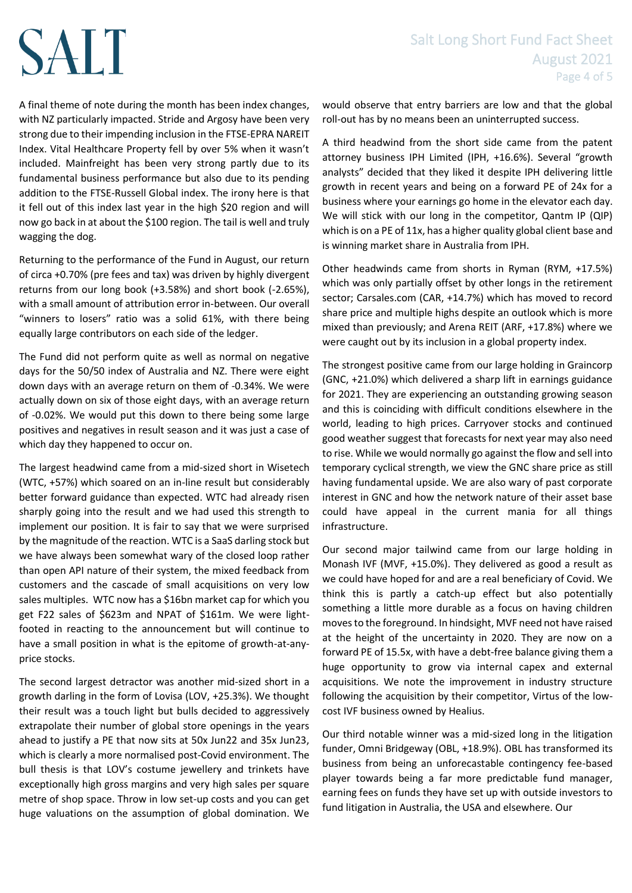# SALT

A final theme of note during the month has been index changes, with NZ particularly impacted. Stride and Argosy have been very strong due to their impending inclusion in the FTSE-EPRA NAREIT Index. Vital Healthcare Property fell by over 5% when it wasn't included. Mainfreight has been very strong partly due to its fundamental business performance but also due to its pending addition to the FTSE-Russell Global index. The irony here is that it fell out of this index last year in the high \$20 region and will now go back in at about the \$100 region. The tail is well and truly wagging the dog.

Returning to the performance of the Fund in August, our return of circa +0.70% (pre fees and tax) was driven by highly divergent returns from our long book (+3.58%) and short book (-2.65%), with a small amount of attribution error in-between. Our overall "winners to losers" ratio was a solid 61%, with there being equally large contributors on each side of the ledger.

The Fund did not perform quite as well as normal on negative days for the 50/50 index of Australia and NZ. There were eight down days with an average return on them of -0.34%. We were actually down on six of those eight days, with an average return of -0.02%. We would put this down to there being some large positives and negatives in result season and it was just a case of which day they happened to occur on.

The largest headwind came from a mid-sized short in Wisetech (WTC, +57%) which soared on an in-line result but considerably better forward guidance than expected. WTC had already risen sharply going into the result and we had used this strength to implement our position. It is fair to say that we were surprised by the magnitude of the reaction. WTC is a SaaS darling stock but we have always been somewhat wary of the closed loop rather than open API nature of their system, the mixed feedback from customers and the cascade of small acquisitions on very low sales multiples. WTC now has a \$16bn market cap for which you get F22 sales of \$623m and NPAT of \$161m. We were lightfooted in reacting to the announcement but will continue to have a small position in what is the epitome of growth-at-anyprice stocks.

The second largest detractor was another mid-sized short in a growth darling in the form of Lovisa (LOV, +25.3%). We thought their result was a touch light but bulls decided to aggressively extrapolate their number of global store openings in the years ahead to justify a PE that now sits at 50x Jun22 and 35x Jun23, which is clearly a more normalised post-Covid environment. The bull thesis is that LOV's costume jewellery and trinkets have exceptionally high gross margins and very high sales per square metre of shop space. Throw in low set-up costs and you can get huge valuations on the assumption of global domination. We

would observe that entry barriers are low and that the global roll-out has by no means been an uninterrupted success.

A third headwind from the short side came from the patent attorney business IPH Limited (IPH, +16.6%). Several "growth analysts" decided that they liked it despite IPH delivering little growth in recent years and being on a forward PE of 24x for a business where your earnings go home in the elevator each day. We will stick with our long in the competitor, Qantm IP (QIP) which is on a PE of 11x, has a higher quality global client base and is winning market share in Australia from IPH.

Other headwinds came from shorts in Ryman (RYM, +17.5%) which was only partially offset by other longs in the retirement sector; Carsales.com (CAR, +14.7%) which has moved to record share price and multiple highs despite an outlook which is more mixed than previously; and Arena REIT (ARF, +17.8%) where we were caught out by its inclusion in a global property index.

The strongest positive came from our large holding in Graincorp (GNC, +21.0%) which delivered a sharp lift in earnings guidance for 2021. They are experiencing an outstanding growing season and this is coinciding with difficult conditions elsewhere in the world, leading to high prices. Carryover stocks and continued good weather suggest that forecasts for next year may also need to rise. While we would normally go against the flow and sell into temporary cyclical strength, we view the GNC share price as still having fundamental upside. We are also wary of past corporate interest in GNC and how the network nature of their asset base could have appeal in the current mania for all things infrastructure.

Our second major tailwind came from our large holding in Monash IVF (MVF, +15.0%). They delivered as good a result as we could have hoped for and are a real beneficiary of Covid. We think this is partly a catch-up effect but also potentially something a little more durable as a focus on having children moves to the foreground. In hindsight, MVF need not have raised at the height of the uncertainty in 2020. They are now on a forward PE of 15.5x, with have a debt-free balance giving them a huge opportunity to grow via internal capex and external acquisitions. We note the improvement in industry structure following the acquisition by their competitor, Virtus of the lowcost IVF business owned by Healius.

Our third notable winner was a mid-sized long in the litigation funder, Omni Bridgeway (OBL, +18.9%). OBL has transformed its business from being an unforecastable contingency fee-based player towards being a far more predictable fund manager, earning fees on funds they have set up with outside investors to fund litigation in Australia, the USA and elsewhere. Our